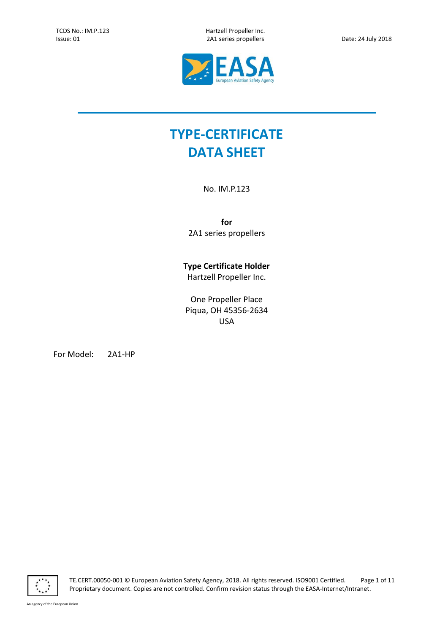TCDS No.: IM.P.123 Hartzell Propeller Inc.<br>
Issue: 01 2A1 series propellers



# **TYPE-CERTIFICATE DATA SHEET**

No. IM.P.123

**for** 2A1 series propellers

# **Type Certificate Holder** Hartzell Propeller Inc.

One Propeller Place Piqua, OH 45356-2634 USA

For Model: 2A1-HP



TE.CERT.00050-001 © European Aviation Safety Agency, 2018. All rights reserved. ISO9001 Certified. Page 1 of 11 Proprietary document. Copies are not controlled. Confirm revision status through the EASA-Internet/Intranet.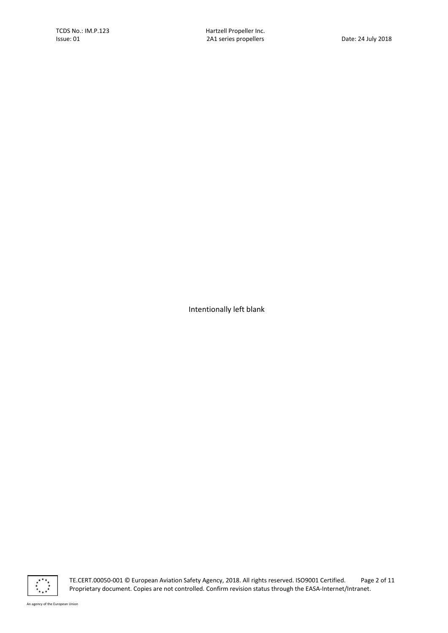Intentionally left blank



TE.CERT.00050-001 © European Aviation Safety Agency, 2018. All rights reserved. ISO9001 Certified. Page 2 of 11 Proprietary document. Copies are not controlled. Confirm revision status through the EASA-Internet/Intranet.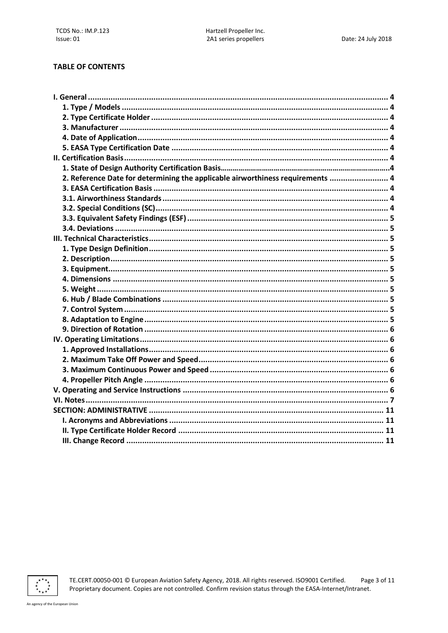# **TABLE OF CONTENTS**

| 2. Reference Date for determining the applicable airworthiness requirements  4 |  |
|--------------------------------------------------------------------------------|--|
|                                                                                |  |
|                                                                                |  |
|                                                                                |  |
|                                                                                |  |
|                                                                                |  |
|                                                                                |  |
|                                                                                |  |
|                                                                                |  |
|                                                                                |  |
|                                                                                |  |
|                                                                                |  |
|                                                                                |  |
|                                                                                |  |
|                                                                                |  |
|                                                                                |  |
|                                                                                |  |
|                                                                                |  |
|                                                                                |  |
|                                                                                |  |
|                                                                                |  |
|                                                                                |  |
|                                                                                |  |
|                                                                                |  |
|                                                                                |  |
|                                                                                |  |
|                                                                                |  |
|                                                                                |  |



TE.CERT.00050-001 © European Aviation Safety Agency, 2018. All rights reserved. ISO9001 Certified. Page 3 of 11 Proprietary document. Copies are not controlled. Confirm revision status through the EASA-Internet/Intranet.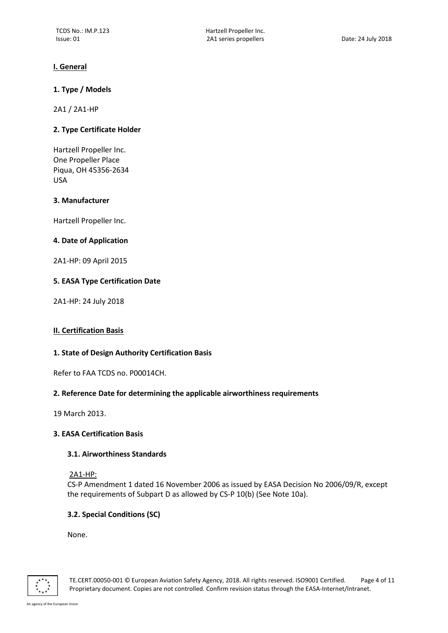#### <span id="page-3-0"></span>**I. General**

#### <span id="page-3-1"></span>**1. Type / Models**

2A1 / 2A1-HP

#### <span id="page-3-2"></span>**2. Type Certificate Holder**

Hartzell Propeller Inc. One Propeller Place Piqua, OH 45356-2634 USA

#### <span id="page-3-3"></span>**3. Manufacturer**

Hartzell Propeller Inc.

#### <span id="page-3-4"></span>**4. Date of Application**

2A1-HP: 09 April 2015

#### <span id="page-3-5"></span>**5. EASA Type Certification Date**

2A1-HP: 24 July 2018

#### <span id="page-3-6"></span>**II. Certification Basis**

#### **1. State of Design Authority Certification Basis**

Refer to FAA TCDS no. P00014CH.

#### <span id="page-3-7"></span>**2. Reference Date for determining the applicable airworthiness requirements**

19 March 2013.

#### <span id="page-3-8"></span>**3. EASA Certification Basis**

#### <span id="page-3-9"></span>**3.1. Airworthiness Standards**

#### 2A1-HP:

CS-P Amendment 1 dated 16 November 2006 as issued by EASA Decision No 2006/09/R, except the requirements of Subpart D as allowed by CS-P 10(b) (See Note 10a).

#### <span id="page-3-10"></span>**3.2. Special Conditions (SC)**

None.

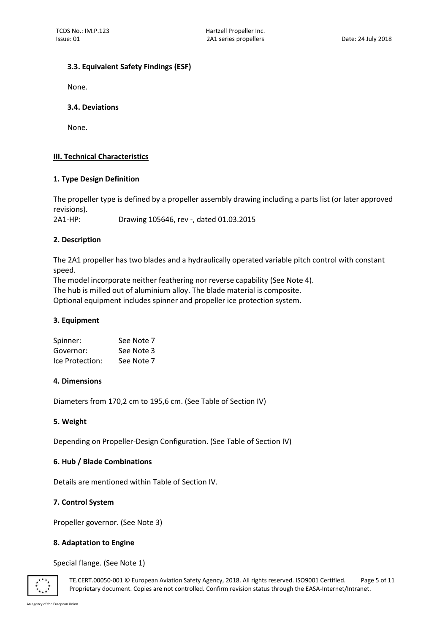# <span id="page-4-0"></span>**3.3. Equivalent Safety Findings (ESF)**

None.

# <span id="page-4-1"></span>**3.4. Deviations**

None.

# <span id="page-4-2"></span>**III. Technical Characteristics**

#### <span id="page-4-3"></span>**1. Type Design Definition**

The propeller type is defined by a propeller assembly drawing including a parts list (or later approved revisions).

2A1-HP: Drawing 105646, rev -, dated 01.03.2015

#### <span id="page-4-4"></span>**2. Description**

The 2A1 propeller has two blades and a hydraulically operated variable pitch control with constant speed.

The model incorporate neither feathering nor reverse capability (See Note 4).

The hub is milled out of aluminium alloy. The blade material is composite.

Optional equipment includes spinner and propeller ice protection system.

#### <span id="page-4-5"></span>**3. Equipment**

| Spinner:        | See Note 7 |
|-----------------|------------|
| Governor:       | See Note 3 |
| Ice Protection: | See Note 7 |

#### <span id="page-4-6"></span>**4. Dimensions**

Diameters from 170,2 cm to 195,6 cm. (See Table of Section IV)

#### <span id="page-4-7"></span>**5. Weight**

Depending on Propeller-Design Configuration. (See Table of Section IV)

#### <span id="page-4-8"></span>**6. Hub / Blade Combinations**

Details are mentioned within Table of Section IV.

#### <span id="page-4-9"></span>**7. Control System**

Propeller governor. (See Note 3)

#### <span id="page-4-10"></span>**8. Adaptation to Engine**

#### Special flange. (See Note 1)



TE.CERT.00050-001 © European Aviation Safety Agency, 2018. All rights reserved. ISO9001 Certified. Page 5 of 11 Proprietary document. Copies are not controlled. Confirm revision status through the EASA-Internet/Intranet.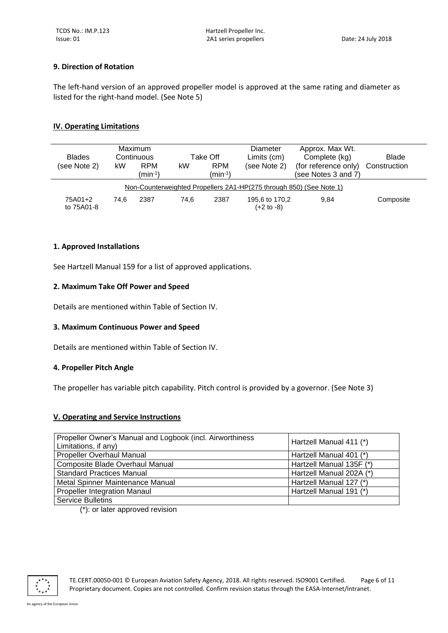#### <span id="page-5-0"></span>**9. Direction of Rotation**

The left-hand version of an approved propeller model is approved at the same rating and diameter as listed for the right-hand model. (See Note 5)

# <span id="page-5-1"></span>**IV. Operating Limitations**

| <b>Blades</b><br>(see Note 2)                                       | kW   | <b>Maximum</b><br>Continuous<br><b>RPM</b><br>$(min^{-1})$ | kW   | Take Off<br><b>RPM</b><br>$(min-1)$ | Diameter<br>Limits (cm)<br>(see Note 2) | Approx. Max Wt.<br>Complete (kg)<br>(for reference only)<br>(see Notes 3 and 7) | Blade<br>Construction |
|---------------------------------------------------------------------|------|------------------------------------------------------------|------|-------------------------------------|-----------------------------------------|---------------------------------------------------------------------------------|-----------------------|
| Non-Counterweighted Propellers 2A1-HP(275 through 850) (See Note 1) |      |                                                            |      |                                     |                                         |                                                                                 |                       |
| 75A01+2<br>to 75A01-8                                               | 74.6 | 2387                                                       | 74.6 | 2387                                | 195,6 to 170,2<br>$(+2 to -8)$          | 9.84                                                                            | Composite             |

#### <span id="page-5-2"></span>**1. Approved Installations**

See Hartzell Manual 159 for a list of approved applications.

#### <span id="page-5-3"></span>**2. Maximum Take Off Power and Speed**

Details are mentioned within Table of Section IV.

#### <span id="page-5-4"></span>**3. Maximum Continuous Power and Speed**

Details are mentioned within Table of Section IV.

#### <span id="page-5-5"></span>**4. Propeller Pitch Angle**

The propeller has variable pitch capability. Pitch control is provided by a governor. (See Note 3)

#### <span id="page-5-6"></span>**V. Operating and Service Instructions**

| Propeller Owner's Manual and Logbook (incl. Airworthiness<br>Limitations, if any) | Hartzell Manual 411 (*)  |
|-----------------------------------------------------------------------------------|--------------------------|
| <b>Propeller Overhaul Manual</b>                                                  | Hartzell Manual 401 (*)  |
| <b>Composite Blade Overhaul Manual</b>                                            | Hartzell Manual 135F (*) |
| <b>Standard Practices Manual</b>                                                  | Hartzell Manual 202A (*) |
| Metal Spinner Maintenance Manual                                                  | Hartzell Manual 127 (*)  |
| <b>Propeller Integration Manaul</b>                                               | Hartzell Manual 191 (*)  |
| <b>Service Bulletins</b>                                                          |                          |

(\*): or later approved revision

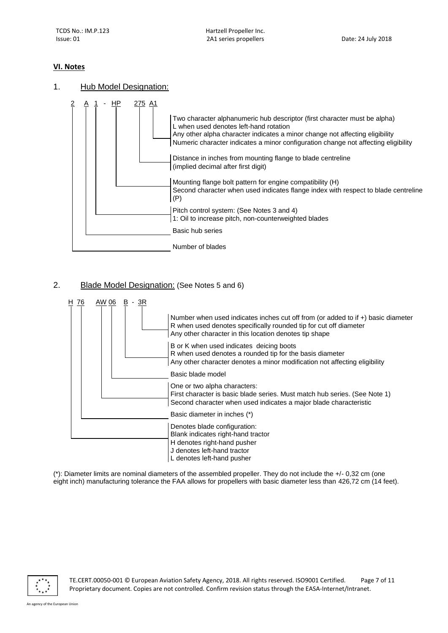#### <span id="page-6-0"></span>**VI. Notes**

#### 1. Hub Model Designation:



# 2. Blade Model Designation: (See Notes 5 and 6)



(\*): Diameter limits are nominal diameters of the assembled propeller. They do not include the +/- 0,32 cm (one eight inch) manufacturing tolerance the FAA allows for propellers with basic diameter less than 426,72 cm (14 feet).



TE.CERT.00050-001 © European Aviation Safety Agency, 2018. All rights reserved. ISO9001 Certified. Page 7 of 11 Proprietary document. Copies are not controlled. Confirm revision status through the EASA-Internet/Intranet.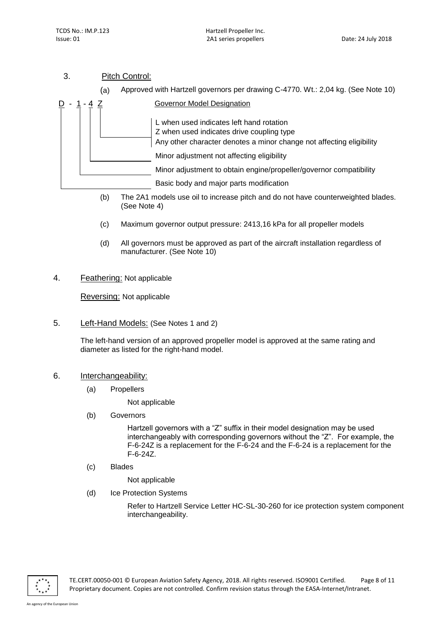- 3. Pitch Control:
- (a) Approved with Hartzell governors per drawing C-4770. Wt.: 2,04 kg. (See Note 10) 1 - 4 Z Governor Model Designation L when used indicates left hand rotation Z when used indicates drive coupling type Any other character denotes a minor change not affecting eligibility Minor adjustment not affecting eligibility Minor adjustment to obtain engine/propeller/governor compatibility Basic body and major parts modification
	- (b) The 2A1 models use oil to increase pitch and do not have counterweighted blades. (See Note 4)
	- (c) Maximum governor output pressure: 2413,16 kPa for all propeller models
	- (d) All governors must be approved as part of the aircraft installation regardless of manufacturer. (See Note 10)
- 4. Feathering: Not applicable

Reversing: Not applicable

5. Left-Hand Models: (See Notes 1 and 2)

The left-hand version of an approved propeller model is approved at the same rating and diameter as listed for the right-hand model.

- 6. Interchangeability:
	- (a) Propellers

Not applicable

(b) Governors

Hartzell governors with a "Z" suffix in their model designation may be used interchangeably with corresponding governors without the "Z". For example, the F-6-24Z is a replacement for the F-6-24 and the F-6-24 is a replacement for the F-6-24Z.

(c) Blades

Not applicable

(d) Ice Protection Systems

Refer to Hartzell Service Letter HC-SL-30-260 for ice protection system component interchangeability.



TE.CERT.00050-001 © European Aviation Safety Agency, 2018. All rights reserved. ISO9001 Certified. Page 8 of 11 Proprietary document. Copies are not controlled. Confirm revision status through the EASA-Internet/Intranet.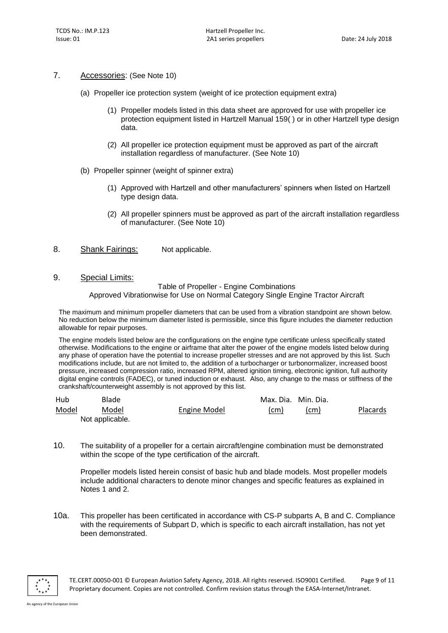#### 7. Accessories: (See Note 10)

- (a) Propeller ice protection system (weight of ice protection equipment extra)
	- (1) Propeller models listed in this data sheet are approved for use with propeller ice protection equipment listed in Hartzell Manual 159( ) or in other Hartzell type design data.
	- (2) All propeller ice protection equipment must be approved as part of the aircraft installation regardless of manufacturer. (See Note 10)
- (b) Propeller spinner (weight of spinner extra)
	- (1) Approved with Hartzell and other manufacturers' spinners when listed on Hartzell type design data.
	- (2) All propeller spinners must be approved as part of the aircraft installation regardless of manufacturer. (See Note 10)
- 8. Shank Fairings: Not applicable.

#### 9. Special Limits:

#### Table of Propeller - Engine Combinations Approved Vibrationwise for Use on Normal Category Single Engine Tractor Aircraft

The maximum and minimum propeller diameters that can be used from a vibration standpoint are shown below. No reduction below the minimum diameter listed is permissible, since this figure includes the diameter reduction allowable for repair purposes.

The engine models listed below are the configurations on the engine type certificate unless specifically stated otherwise. Modifications to the engine or airframe that alter the power of the engine models listed below during any phase of operation have the potential to increase propeller stresses and are not approved by this list. Such modifications include, but are not limited to, the addition of a turbocharger or turbonormalizer, increased boost pressure, increased compression ratio, increased RPM, altered ignition timing, electronic ignition, full authority digital engine controls (FADEC), or tuned induction or exhaust. Also, any change to the mass or stiffness of the crankshaft/counterweight assembly is not approved by this list.

| Hub          | Blade           |              | Max. Dia. Min. Dia. |      |                 |
|--------------|-----------------|--------------|---------------------|------|-----------------|
| <u>Model</u> | Model           | Engine Model | $\text{(cm)}$       | (cm) | <b>Placards</b> |
|              | Not applicable. |              |                     |      |                 |

10. The suitability of a propeller for a certain aircraft/engine combination must be demonstrated within the scope of the type certification of the aircraft.

Propeller models listed herein consist of basic hub and blade models. Most propeller models include additional characters to denote minor changes and specific features as explained in Notes 1 and 2.

10a. This propeller has been certificated in accordance with CS-P subparts A, B and C. Compliance with the requirements of Subpart D, which is specific to each aircraft installation, has not yet been demonstrated.



TE.CERT.00050-001 © European Aviation Safety Agency, 2018. All rights reserved. ISO9001 Certified. Page 9 of 11 Proprietary document. Copies are not controlled. Confirm revision status through the EASA-Internet/Intranet.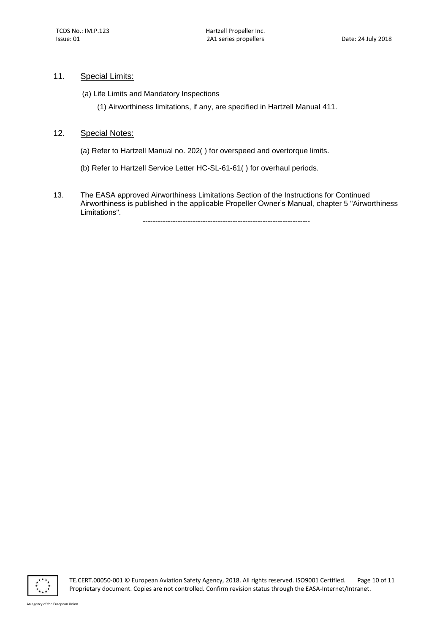#### 11. Special Limits:

- (a) Life Limits and Mandatory Inspections
	- (1) Airworthiness limitations, if any, are specified in Hartzell Manual 411.

# 12. Special Notes:

- (a) Refer to Hartzell Manual no. 202( ) for overspeed and overtorque limits.
- (b) Refer to Hartzell Service Letter HC-SL-61-61( ) for overhaul periods.
- 13. The EASA approved Airworthiness Limitations Section of the Instructions for Continued Airworthiness is published in the applicable Propeller Owner's Manual, chapter 5 "Airworthiness Limitations".

-------------------------------------------------------------------



TE.CERT.00050-001 © European Aviation Safety Agency, 2018. All rights reserved. ISO9001 Certified. Page 10 of 11 Proprietary document. Copies are not controlled. Confirm revision status through the EASA-Internet/Intranet.